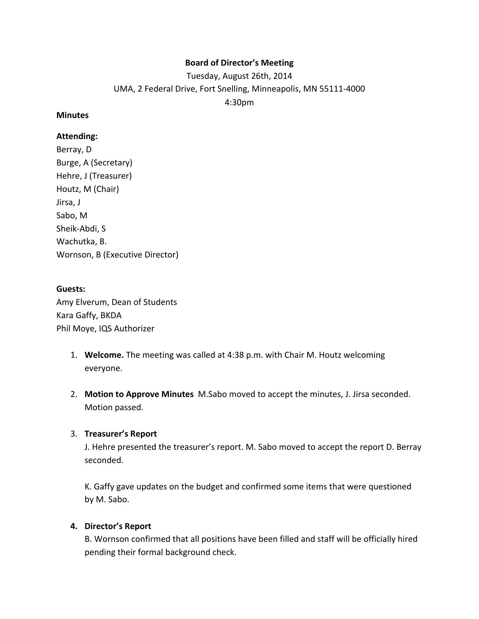# **Board of Director's Meeting**

Tuesday, August 26th, 2014 UMA, 2 Federal Drive, Fort Snelling, Minneapolis, MN 55111-4000 4:30pm

#### **Minutes**

### **Attending:**

Berray, D Burge, A (Secretary) Hehre, J (Treasurer) Houtz, M (Chair) Jirsa, J Sabo, M Sheik-Abdi, S Wachutka, B. Wornson, B (Executive Director)

#### **Guests:**

Amy Elverum, Dean of Students Kara Gaffy, BKDA Phil Moye, IQS Authorizer

- 1. **Welcome.** The meeting was called at 4:38 p.m. with Chair M. Houtz welcoming everyone.
- 2. **Motion to Approve Minutes** M.Sabo moved to accept the minutes, J. Jirsa seconded. Motion passed.

#### 3. **Treasurer's Report**

J. Hehre presented the treasurer's report. M. Sabo moved to accept the report D. Berray seconded.

K. Gaffy gave updates on the budget and confirmed some items that were questioned by M. Sabo.

#### **4. Director's Report**

B. Wornson confirmed that all positions have been filled and staff will be officially hired pending their formal background check.